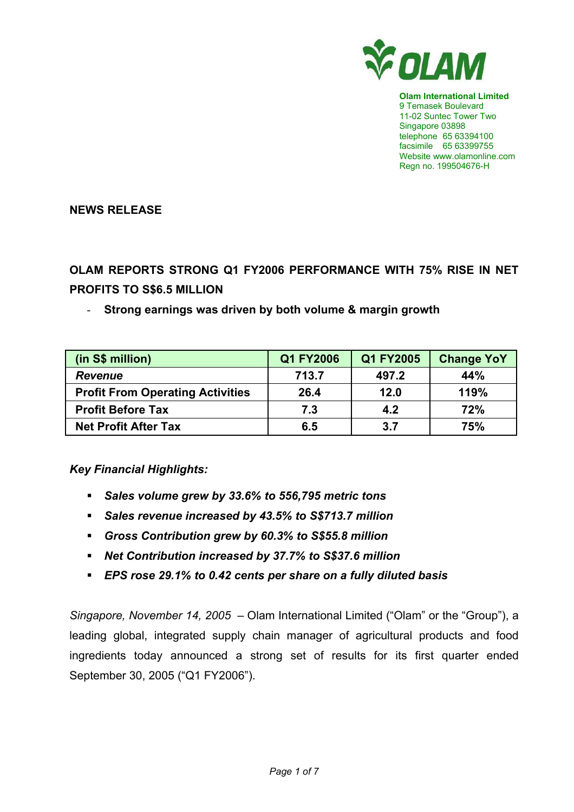

**Olam International Limited**  9 Temasek Boulevard 11-02 Suntec Tower Two Singapore 03898 telephone 65 63394100 facsimile 65 63399755 Website www.olamonline.com Regn no. 199504676-H

**NEWS RELEASE** 

**OLAM REPORTS STRONG Q1 FY2006 PERFORMANCE WITH 75% RISE IN NET PROFITS TO S\$6.5 MILLION** 

# - **Strong earnings was driven by both volume & margin growth**

| (in S\$ million)                        | Q1 FY2006 | Q1 FY2005 | <b>Change YoY</b> |
|-----------------------------------------|-----------|-----------|-------------------|
| <b>Revenue</b>                          | 713.7     | 497.2     | 44%               |
| <b>Profit From Operating Activities</b> | 26.4      | 12.0      | 119%              |
| <b>Profit Before Tax</b>                | 7.3       | 4.2       | 72%               |
| <b>Net Profit After Tax</b>             | 6.5       | 3.7       | 75%               |

*Key Financial Highlights:* 

- *Sales volume grew by 33.6% to 556,795 metric tons*
- *Sales revenue increased by 43.5% to S\$713.7 million*
- *Gross Contribution grew by 60.3% to S\$55.8 million*
- *Net Contribution increased by 37.7% to S\$37.6 million*
- *EPS rose 29.1% to 0.42 cents per share on a fully diluted basis*

*Singapore, November 14, 2005 –* Olam International Limited ("Olam" or the "Group"), a leading global, integrated supply chain manager of agricultural products and food ingredients today announced a strong set of results for its first quarter ended September 30, 2005 ("Q1 FY2006").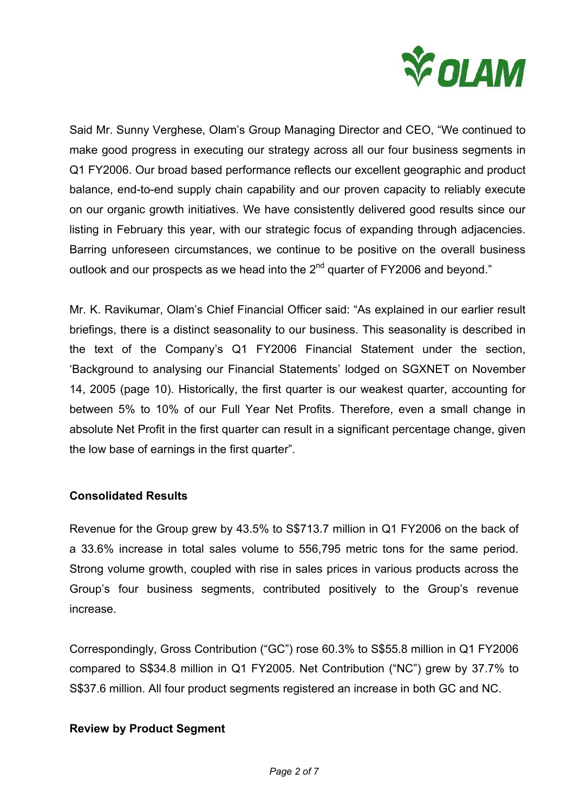

Said Mr. Sunny Verghese, Olam's Group Managing Director and CEO, "We continued to make good progress in executing our strategy across all our four business segments in Q1 FY2006. Our broad based performance reflects our excellent geographic and product balance, end-to-end supply chain capability and our proven capacity to reliably execute on our organic growth initiatives. We have consistently delivered good results since our listing in February this year, with our strategic focus of expanding through adjacencies. Barring unforeseen circumstances, we continue to be positive on the overall business outlook and our prospects as we head into the  $2<sup>nd</sup>$  quarter of FY2006 and beyond."

Mr. K. Ravikumar, Olam's Chief Financial Officer said: "As explained in our earlier result briefings, there is a distinct seasonality to our business. This seasonality is described in the text of the Company's Q1 FY2006 Financial Statement under the section, 'Background to analysing our Financial Statements' lodged on SGXNET on November 14, 2005 (page 10). Historically, the first quarter is our weakest quarter, accounting for between 5% to 10% of our Full Year Net Profits. Therefore, even a small change in absolute Net Profit in the first quarter can result in a significant percentage change, given the low base of earnings in the first quarter".

## **Consolidated Results**

Revenue for the Group grew by 43.5% to S\$713.7 million in Q1 FY2006 on the back of a 33.6% increase in total sales volume to 556,795 metric tons for the same period. Strong volume growth, coupled with rise in sales prices in various products across the Group's four business segments, contributed positively to the Group's revenue increase.

Correspondingly, Gross Contribution ("GC") rose 60.3% to S\$55.8 million in Q1 FY2006 compared to S\$34.8 million in Q1 FY2005. Net Contribution ("NC") grew by 37.7% to S\$37.6 million. All four product segments registered an increase in both GC and NC.

## **Review by Product Segment**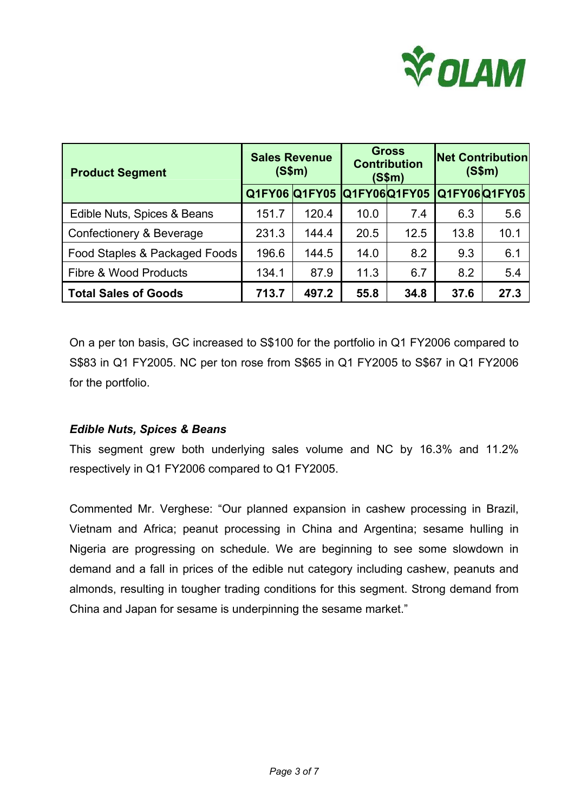

| <b>Product Segment</b>           | <b>Sales Revenue</b><br>(S\$m) |                      | <b>Gross</b><br><b>Contribution</b><br>(S\$m) |                     | <b>Net Contribution</b><br>(S\$m) |              |
|----------------------------------|--------------------------------|----------------------|-----------------------------------------------|---------------------|-----------------------------------|--------------|
|                                  |                                | <b>Q1FY06 Q1FY05</b> |                                               | <b>Q1FY06Q1FY05</b> |                                   | Q1FY06Q1FY05 |
| Edible Nuts, Spices & Beans      | 151.7                          | 120.4                | 10.0                                          | 7.4                 | 6.3                               | 5.6          |
| Confectionery & Beverage         | 231.3                          | 144.4                | 20.5                                          | 12.5                | 13.8                              | 10.1         |
| Food Staples & Packaged Foods    | 196.6                          | 144.5                | 14.0                                          | 8.2                 | 9.3                               | 6.1          |
| <b>Fibre &amp; Wood Products</b> | 134.1                          | 87.9                 | 11.3                                          | 6.7                 | 8.2                               | 5.4          |
| <b>Total Sales of Goods</b>      | 713.7                          | 497.2                | 55.8                                          | 34.8                | 37.6                              | 27.3         |

On a per ton basis, GC increased to S\$100 for the portfolio in Q1 FY2006 compared to S\$83 in Q1 FY2005. NC per ton rose from S\$65 in Q1 FY2005 to S\$67 in Q1 FY2006 for the portfolio.

# *Edible Nuts, Spices & Beans*

This segment grew both underlying sales volume and NC by 16.3% and 11.2% respectively in Q1 FY2006 compared to Q1 FY2005.

Commented Mr. Verghese: "Our planned expansion in cashew processing in Brazil, Vietnam and Africa; peanut processing in China and Argentina; sesame hulling in Nigeria are progressing on schedule. We are beginning to see some slowdown in demand and a fall in prices of the edible nut category including cashew, peanuts and almonds, resulting in tougher trading conditions for this segment. Strong demand from China and Japan for sesame is underpinning the sesame market."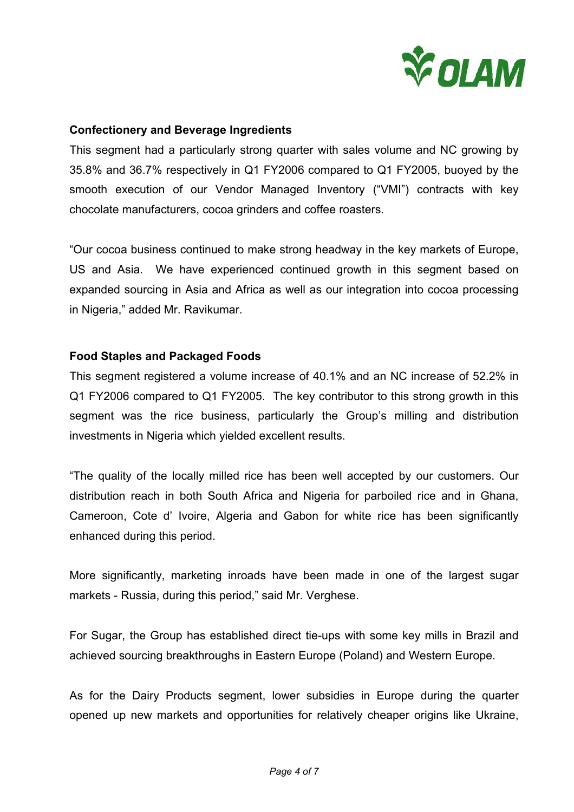

## **Confectionery and Beverage Ingredients**

This segment had a particularly strong quarter with sales volume and NC growing by 35.8% and 36.7% respectively in Q1 FY2006 compared to Q1 FY2005, buoyed by the smooth execution of our Vendor Managed Inventory ("VMI") contracts with key chocolate manufacturers, cocoa grinders and coffee roasters.

"Our cocoa business continued to make strong headway in the key markets of Europe, US and Asia. We have experienced continued growth in this segment based on expanded sourcing in Asia and Africa as well as our integration into cocoa processing in Nigeria," added Mr. Ravikumar.

## **Food Staples and Packaged Foods**

This segment registered a volume increase of 40.1% and an NC increase of 52.2% in Q1 FY2006 compared to Q1 FY2005. The key contributor to this strong growth in this segment was the rice business, particularly the Group's milling and distribution investments in Nigeria which yielded excellent results.

"The quality of the locally milled rice has been well accepted by our customers. Our distribution reach in both South Africa and Nigeria for parboiled rice and in Ghana, Cameroon, Cote d' Ivoire, Algeria and Gabon for white rice has been significantly enhanced during this period.

More significantly, marketing inroads have been made in one of the largest sugar markets - Russia, during this period," said Mr. Verghese.

For Sugar, the Group has established direct tie-ups with some key mills in Brazil and achieved sourcing breakthroughs in Eastern Europe (Poland) and Western Europe.

As for the Dairy Products segment, lower subsidies in Europe during the quarter opened up new markets and opportunities for relatively cheaper origins like Ukraine,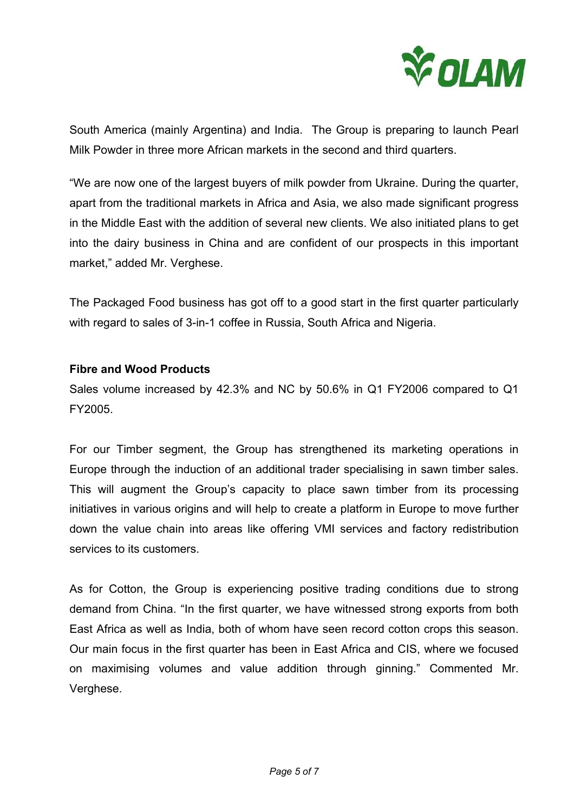

South America (mainly Argentina) and India. The Group is preparing to launch Pearl Milk Powder in three more African markets in the second and third quarters.

"We are now one of the largest buyers of milk powder from Ukraine. During the quarter, apart from the traditional markets in Africa and Asia, we also made significant progress in the Middle East with the addition of several new clients. We also initiated plans to get into the dairy business in China and are confident of our prospects in this important market," added Mr. Verghese.

The Packaged Food business has got off to a good start in the first quarter particularly with regard to sales of 3-in-1 coffee in Russia, South Africa and Nigeria.

## **Fibre and Wood Products**

Sales volume increased by 42.3% and NC by 50.6% in Q1 FY2006 compared to Q1 FY2005.

For our Timber segment, the Group has strengthened its marketing operations in Europe through the induction of an additional trader specialising in sawn timber sales. This will augment the Group's capacity to place sawn timber from its processing initiatives in various origins and will help to create a platform in Europe to move further down the value chain into areas like offering VMI services and factory redistribution services to its customers.

As for Cotton, the Group is experiencing positive trading conditions due to strong demand from China. "In the first quarter, we have witnessed strong exports from both East Africa as well as India, both of whom have seen record cotton crops this season. Our main focus in the first quarter has been in East Africa and CIS, where we focused on maximising volumes and value addition through ginning." Commented Mr. Verghese.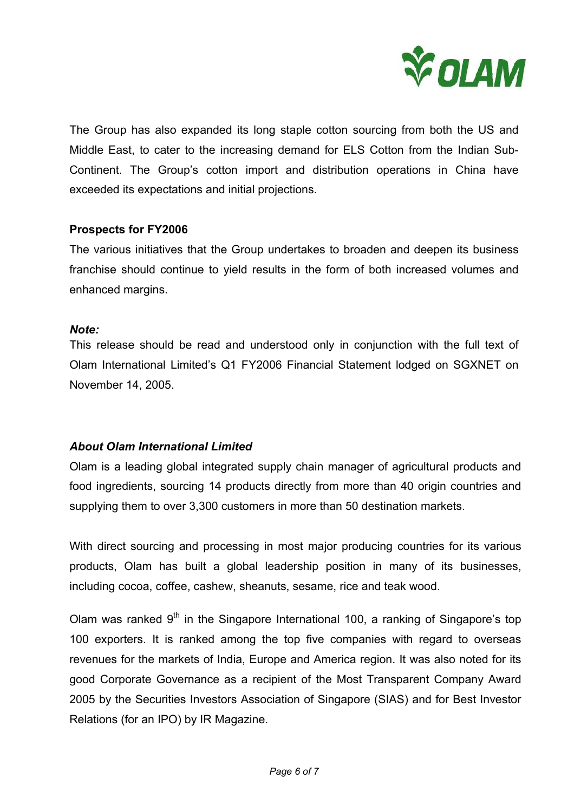

The Group has also expanded its long staple cotton sourcing from both the US and Middle East, to cater to the increasing demand for ELS Cotton from the Indian Sub-Continent. The Group's cotton import and distribution operations in China have exceeded its expectations and initial projections.

## **Prospects for FY2006**

The various initiatives that the Group undertakes to broaden and deepen its business franchise should continue to yield results in the form of both increased volumes and enhanced margins.

## *Note:*

This release should be read and understood only in conjunction with the full text of Olam International Limited's Q1 FY2006 Financial Statement lodged on SGXNET on November 14, 2005.

# *About Olam International Limited*

Olam is a leading global integrated supply chain manager of agricultural products and food ingredients, sourcing 14 products directly from more than 40 origin countries and supplying them to over 3,300 customers in more than 50 destination markets.

With direct sourcing and processing in most major producing countries for its various products, Olam has built a global leadership position in many of its businesses, including cocoa, coffee, cashew, sheanuts, sesame, rice and teak wood.

Olam was ranked  $9<sup>th</sup>$  in the Singapore International 100, a ranking of Singapore's top 100 exporters. It is ranked among the top five companies with regard to overseas revenues for the markets of India, Europe and America region. It was also noted for its good Corporate Governance as a recipient of the Most Transparent Company Award 2005 by the Securities Investors Association of Singapore (SIAS) and for Best Investor Relations (for an IPO) by IR Magazine.